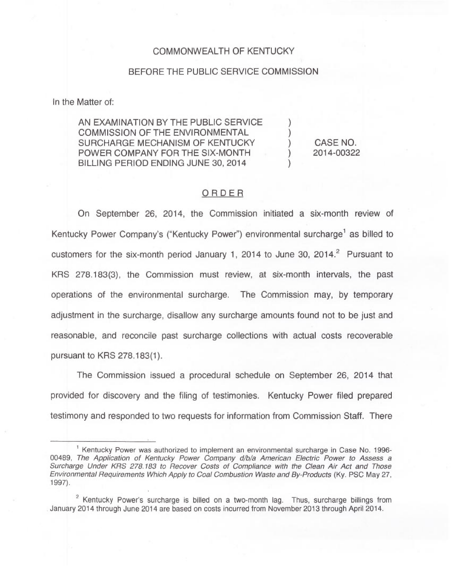# COMMONWEALTH OF KENTUCKY

## BEFORE THE PUBLIC SERVICE COMMISSION

In the Matter of:

AN EXAMINATION BY THE PUBLIC SERVICE COMMISSION OF THE ENVIRONMENTAL SURCHARGE MECHANISM OF KENTUCKY POWER COMPANY FOR THE SIX-MONTH BILLING PERIOD ENDING JUNE 30, 2014

) CASE NO. ) 2014-00322

) )

)

## ORDER

On September 26, 2014, the Commission initiated a six-month review of Kentucky Power Company's ("Kentucky Power") environmental surcharge<sup>1</sup> as billed to customers for the six-month period January 1, 2014 to June 30, 2014.<sup>2</sup> Pursuant to KRS 278.183(3), the Commission must review, at six-month intervals, the past operations of the environmental surcharge. The Commission may, by temporary adjustment in the surcharge, disallow any surcharge amounts found not to be just and reasonable, and reconcile past surcharge collections with actual costs recoverable pursuant to KRS 278.183(1).

The Commission issued a procedural schedule on September 26, 2014 that provided for discovery and the filing of testimonies. Kentucky Power filed prepared testimony and responded to two requests for information from Commission Staff. There

<sup>&</sup>lt;sup>1</sup> Kentucky Power was authorized to implement an environmental surcharge in Case No. 1996-00489, The Application of Kentucky Power Company d/b/a American Electric Power to Assess a Surcharge Under KRS 278.183 to Recover Costs of Compliance with the Clean Air Act and Those Environmental Requirements Which Apply to Coal Combustion Waste and By-Products (Ky. PSC May 27, 1997).

 $2$  Kentucky Power's surcharge is billed on a two-month lag. Thus, surcharge billings from January 2014 through June 2014 are based on costs incurred from November 2013 through April 2014.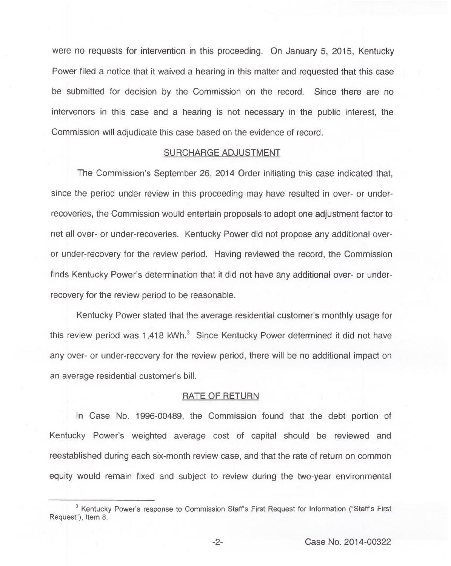were no requests for intervention in this proceeding. On January 5, 2015, Kentucky Power filed a notice that it waived a hearing in this matter and requested that this case be submitted for decision by the Commission on the record. Since there are no intervenors in this case and a hearing is not necessary in the public interest, the Commission will adjudicate this case based on the evidence of record.

#### SURCHARGE ADJUSTMENT

The Commission's September 26, 2014 Order initiating this case indicated that, since the period under review in this proceeding may have resulted in over- or underrecoveries, the Commission would entertain proposals to adopt one adjustment factor to net all over- or under-recoveries. Kentucky Power did not propose any additional overor under-recovery for the review period. Having reviewed the record, the Commission finds Kentucky Power's determination that it did not have any additional over- or underrecovery for the review period to be reasonable.

Kentucky Power stated that the average residential customer's monthly usage for this review period was  $1,418$  kWh.<sup>3</sup> Since Kentucky Power determined it did not have any over- or under-recovery for the review period, there will be no additional impact on an average residential customer's bill.

## RATE OF RETURN

In Case No. 1996-00489, the Commission found that the debt portion of Kentucky Power's weighted average cost of capital should be reviewed and reestablished during each six-month review case, and that the rate of return on common equity would remain fixed and subject to review during the two-year environmental

 $-2-$ 

<sup>&</sup>lt;sup>3</sup> Kentucky Power's response to Commission Staff's First Request for Information ("Staff's First Request"), Item 8.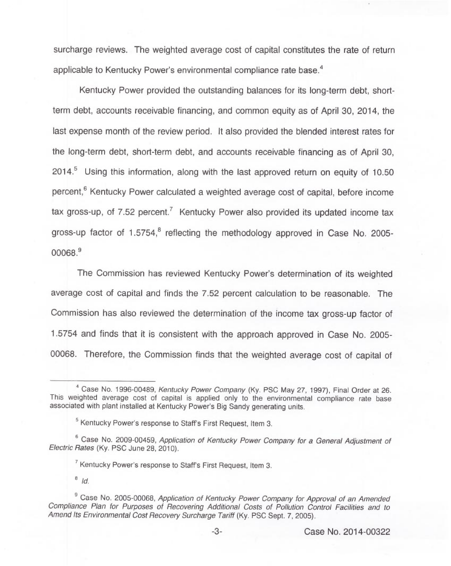surcharge reviews. The weighted average cost of capital constitutes the rate of return applicable to Kentucky Power's environmental compliance rate base.<sup>4</sup>

Kentucky Power provided the outstanding balances for its long-term debt, shortterm debt, accounts receivable financing, and common equity as of April 30, 2014, the last expense month of the review period. It also provided the blended interest rates for the long-term debt, short-term debt, and accounts receivable financing as of April 30, 2014.<sup>5</sup> Using this information, along with the last approved return on equity of 10.50 percent,<sup>6</sup> Kentucky Power calculated a weighted average cost of capital, before income tax gross-up, of  $7.52$  percent.<sup>7</sup> Kentucky Power also provided its updated income tax gross-up factor of  $1.5754$ ,<sup>8</sup> reflecting the methodology approved in Case No. 2005-00068.<sup>9</sup>

The Commission has reviewed Kentucky Power's determination of its weighted average cost of capital and finds the 7.52 percent calculation to be reasonable. The Commission has also reviewed the determination of the income tax gross-up factor of 1.5754 and finds that it is consistent with the approach approved in Case No. 2005- 00068. Therefore, the Commission finds that the weighted average cost of capital of

 $8$  Id.

Case No. 1996-00489, Kentucky Power Company (Ky. PSC May 27, 1997), Final Order at 26. This weighted average cost of capital is applied only to the environmental compliance rate base associated with plant installed at Kentucky Power's Big Sandy generating units.

 $<sup>5</sup>$  Kentucky Power's response to Staff's First Request, Item 3.</sup>

<sup>&</sup>lt;sup>6</sup> Case No. 2009-00459, Application of Kentucky Power Company for a General Adjustment of Electric Rates (Ky. PSC June 28, 2010).

 $7$  Kentucky Power's response to Staff's First Request, Item 3.

<sup>&</sup>lt;sup>9</sup> Case No. 2005-00068, Application of Kentucky Power Company for Approval of an Amended Compliance Plan for Purposes of Recovering Additional Costs of Pollution Control Facilities and to Amend its Environmental Cost Recovery Surcharge Tariff (Ky. PSC Sept. 7, 2005).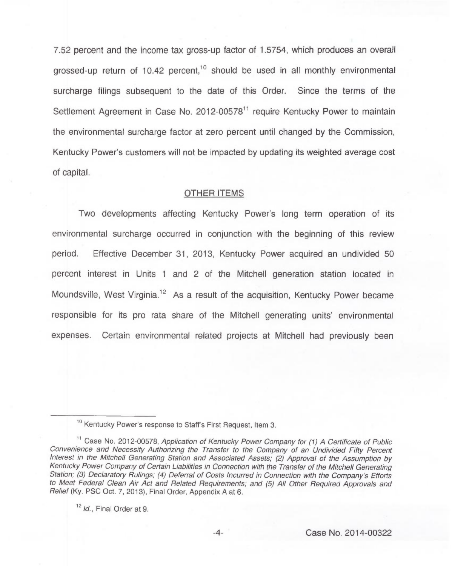7.52 percent and the income tax gross-up factor of 1.5754, which produces an overall grossed-up return of 10.42 percent,<sup>10</sup> should be used in all monthly environmental surcharge filings subsequent to the date of this Order. Since the terms of the Settlement Agreement in Case No. 2012-00578<sup>11</sup> require Kentucky Power to maintain the environmental surcharge factor at zero percent until changed by the Commission, Kentucky Power's customers will not be impacted by updating its weighted average cost of capital.

## OTHER ITEMS

Two developments affecting Kentucky Power's long term operation of its environmental surcharge occurred in conjunction with the beginning of this review period. Effective December 31, 2013, Kentucky Power acquired an undivided 50 percent interest in Units <sup>1</sup> and 2 of the Mitchell generation station located in Moundsville, West Virginia.<sup>12</sup> As a result of the acquisition, Kentucky Power became responsible for its pro rata share of the Mitchell generating units' environmental expenses. Certain environmental related projects at Mitchell had previously been

<sup>12</sup> Id., Final Order at 9.

<sup>10&</sup>lt;br><sup>10</sup> Kentucky Power's response to Staff's First Request, Item 3.

<sup>&</sup>lt;sup>11</sup> Case No. 2012-00578, Application of Kentucky Power Company for (1) A Certificate of Public Convenience and Necessity Authorizing the Transfer to the Company of an Undivided Fifty Percent Interest in the Mitchell Generating Station and Associated Assets; (2) Approval of the Assumption by Kentucky Power Company of Certain Liabilities in Connection with the Transfer of the Mitchell Generating Station; (3) Declaratory Rulings; (4) Deferral of Costs Incurred in Connection with the Company's Efforts to Meet Federal Clean Air Act and Related Requirements; and (5) AII Other Required Approvals and Relief (Ky. PSC Oct. 7, 2013), Final Order, Appendix <sup>A</sup> at 6.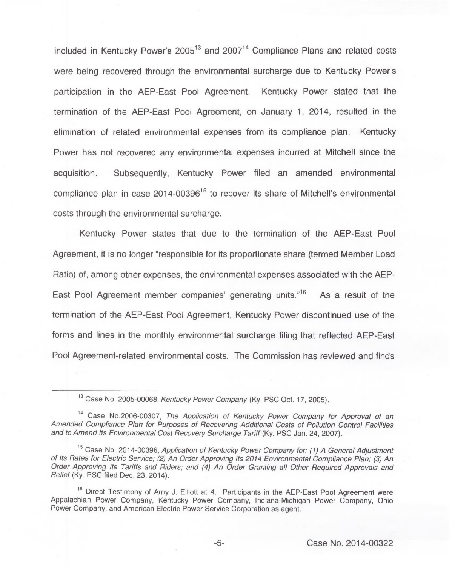included in Kentucky Power's  $2005^{13}$  and  $2007^{14}$  Compliance Plans and related costs were being recovered through the environmental surcharge due to Kentucky Power's participation in the AEP-East Pool Agreement. Kentucky Power stated that the termination of the AEP-East Pool Agreement, on January 1, 2014, resulted in the elimination of related environmental expenses from its compliance plan. Kentucky Power has not recovered any environmental expenses incurred at Mitchell since the acquisition. Subsequently, Kentucky Power filed an amended environmental compliance plan in case 2014-00396<sup>15</sup> to recover its share of Mitchell's environmental costs through the environmental surcharge.

Kentucky Power states that due to the termination of the AEP-East Pool Agreement, it is no longer "responsible for its proportionate share (termed Member Load Ratio) of, among other expenses, the environmental expenses associated with the AEP-East Pool Agreement member companies' generating units."<sup>16</sup> As a result of the termination of the AEP-East Pool Agreement, Kentucky Power discontinued use of the forms and lines in the monthly environmental surcharge filing that reflected AEP-East Pool Agreement-related environmental costs. The Commission has reviewed and finds

<sup>&</sup>lt;sup>13</sup> Case No. 2005-00068, Kentucky Power Company (Ky. PSC Oct. 17, 2005).

<sup>&</sup>lt;sup>14</sup> Case No.2006-00307, The Application of Kentucky Power Company for Approval of an Amended Compliance Plan for Purposes of Recovering Additional Costs of Pollution Control Facilities and to Amend Its Environmental Cost Recovery Surcharge Tariff (Ky. PSC Jan. 24, 2007).

<sup>&</sup>lt;sup>15</sup> Case No. 2014-00396, Application of Kentucky Power Company for: (1) A General Adjustment of Its Rates for Electric Service; (2) An Order Approving Its 2014 Environmental Compliance Plan; (3) An Order Approving Its Tariffs and Riders; and (4) An Order Granting all Other Required Approvals and Relief (Ky. PSC filed Dec. 23, 2014).

<sup>&</sup>lt;sup>16</sup> Direct Testimony of Amy J. Elliott at 4. Participants in the AEP-East Pool Agreement were Appalachian Power Company, Kentucky Power Company, Indiana-Michigan Power Company, Ohio Power Company, and American Electric Power Service Corporation as agent.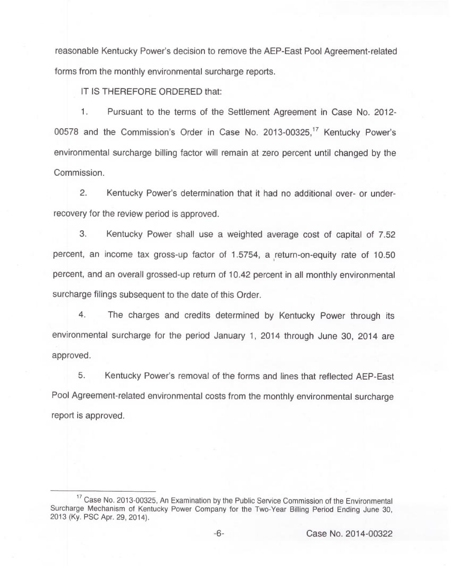reasonable Kentucky Power's decision to remove the AEP-East Pool Agreement-related forms from the monthly environmental surcharge reports.

IT IS THEREFORE ORDERED that:

 $1.$ Pursuant to the terms of the Settlement Agreement in Case No. 2012- 00578 and the Commission's Order in Case No. 2013-00325," Kentucky Power's environmental surcharge billing factor will remain at zero percent until changed by the Commission.

2. Kentucky Power's determination that it had no additional over- or underrecovery for the review period is approved.

3. Kentucky Power shall use a weighted average cost of capital of 7.52 percent, an income tax gross-up factor of 1.5754, a return-on-equity rate of 10.50 percent, and an overall grossed-up return of 10.42 percent in all monthly environmental surcharge filings subsequent to the date of this Order.

4. The charges and credits determined by Kentucky Power through its environmental surcharge for the period January 1, 2014 through June 30, 2014 are approved.

5. Kentucky Power's removal of the forms and lines that reflected AEP-East Pool Agreement-related environmental costs from the monthly environmental surcharge report is approved.

<sup>&</sup>lt;sup>17</sup> Case No. 2013-00325, An Examination by the Public Service Commission of the Environmental Surcharge Mechanism of Kentucky Power Company for the Two-Year Billing Period Ending June 30, 2013 (Ky. PSC Apr. 29, 2014).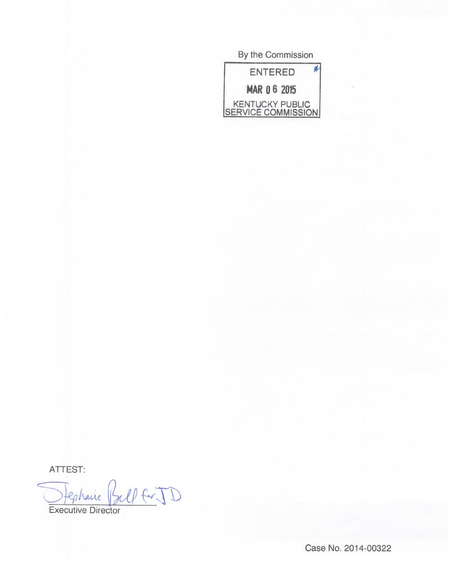| By the Commission                     |
|---------------------------------------|
| <b>ENTERED</b>                        |
| <b>MAR 06 2015</b>                    |
| KENTUCKY PUBLIC<br>SERVICÉ COMMISSION |

ATTEST:

Dephaire Ball for JD Feshaire

Case No. 2014-00322